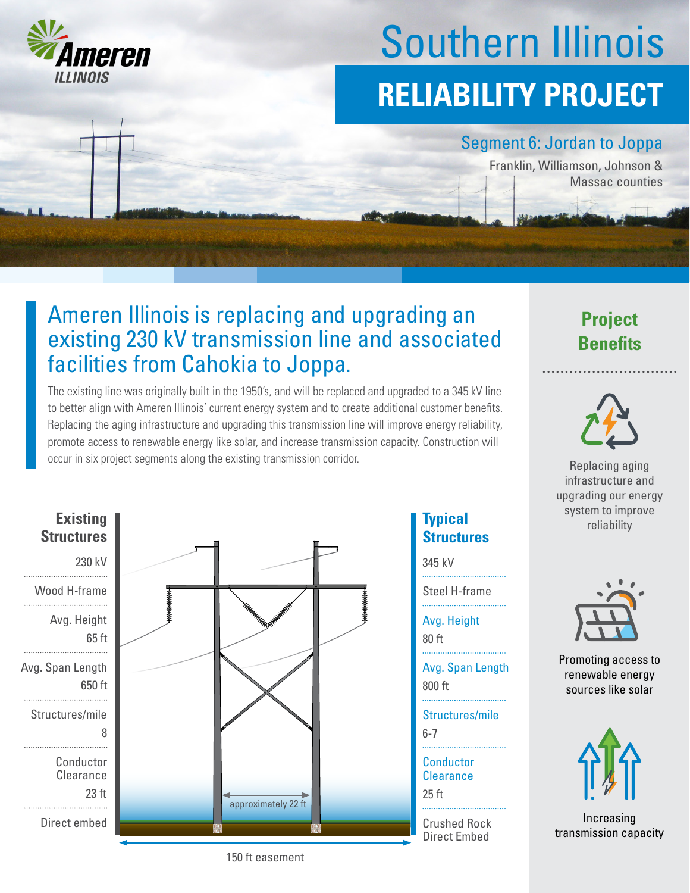

# Southern Illinois **RELIABILITY PROJECT**

### Segment 6: Jordan to Joppa

Franklin, Williamson, Johnson & Massac counties

## Ameren Illinois is replacing and upgrading an existing 230 kV transmission line and associated facilities from Cahokia to Joppa.

The existing line was originally built in the 1950's, and will be replaced and upgraded to a 345 kV line to better align with Ameren Illinois' current energy system and to create additional customer benefits. Replacing the aging infrastructure and upgrading this transmission line will improve energy reliability, promote access to renewable energy like solar, and increase transmission capacity. Construction will occur in six project segments along the existing transmission corridor. **Replacing aging** Replacing aging



## **Structures**

345 kV

Steel H-frame

Avg. Height

80 ft

800 ft Avg. Span Length

6-7 Structures/mile

25 ft **Conductor Clearance** 

Crushed Rock Direct Embed





infrastructure and upgrading our energy system to improve **Typical Typical Typical Typical Typical Typical Typical Typical** 



Promoting access to renewable energy sources like solar



Increasing transmission capacity

150 ft easement